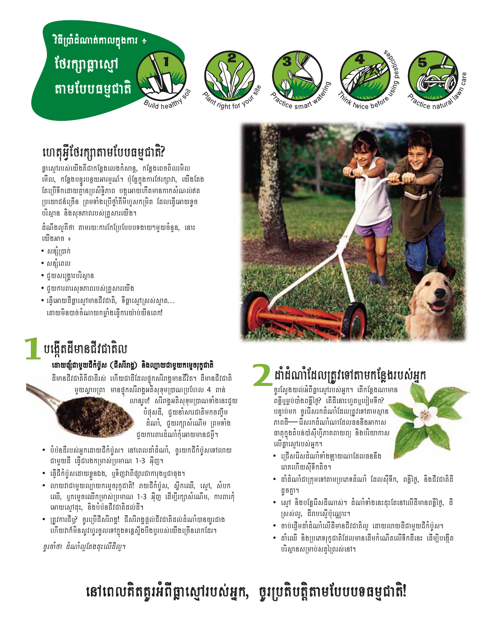# វិធីប្រាំដំណាត់កាលក្នុងការ ÷ ថែរក្សាធ្លាស្មៅ <u>តាមបែបធម្មជាតិ</u>











## ហេតុអ្វីថែរក្សាតាមបែបធម្មជាតិ?

ផ្លាស្មៅរបស់យើងគីជាកន្លែងលេងកំសាន្ត, កន្លែងពេចពិលរមិល មើល, កន្លែងបន្ទូរបន្ថយអារម្មណ៍។ ប៉ុន្តែក្នុងការថែរក្បាវា, យើងតែង តែប្រើទឹកដោយគ្មានប្រសិទ្ធិភាព បង្កអោយកើតមានកាកសំណល់ឥត ប្រយោជន៍ច្រើន ព្រមទាំងប្រើថ្នាំគីមីហូសកម្រិត ដែលធ្វើអោយខូច បរិស្ថាន និងសុខភាពរបស់គ្រួសារយើង។

ដំណឹងល្អតីថា តាមរយៈការកែប្រែបែបបទងាយៗមួយចំនួន, នោះ យើងអាច ÷

- សន្សំប្រាក់
- សន្សំពេល
- ជួយសង្គ្រោះបរិស្ថាន
- ជួយការពារសុខភាពរបស់គ្រួសារយើង
- ធ្វើអោយដីធ្លាស្មៅមានជីវជាតិ, ទីធ្លាស្មៅស្រស់ស្អាត... ដោយមិនបាច់ចំណាយកម្លាំងធ្វើការយ៉ាប់យីនពេក!



### <mark>់ បង្កើតដីមានជីវជាតិល</mark>

#### ដោយផ្សឹជាមួយជីកំប៉ូស (ជីសរីរាង្គ) និងល្បាយជាមួយកម្ទេចរុក្ខជាតិ

ដីមានជីវជាតិគីជាដីរស់ ហើយជាដីដែលផ្ទុកសរីរាង្គមានជីវិត។ ដីមានជីវជាតិ មួយស្លាបព្រា មានផ្ទុកសរីរាង្គអតិសុខុមប្រាណប្រហែល 4 ពាន់

លានរូប! សរីរាង្គអតិសុខុមប្រាណទាំងនេះជួយ បំផុសដី, ជុយទាំសារជាតិមកចញ្ចឹម

ដំណាំ, ជួយរក្សាសំណើម ព្រមទាំង ជួយការពារដំណាំកុំអោយមានជម្ងឺ។

- បំប៉នដីរបស់អ្នកដោយជីកំប៉ូស។ នៅពេលដាំដំណាំ, ចូរយកជីកំប៉ូសទៅលាយ ជាមួយដី ធ្វើជារងកម្រាស់ប្រមាណ 1-3 អ៊ីញ។
- ធ្វើជីកំប៉ូសដោយខ្លួនឯង, ឬទិញវាពីផ្សារជាការុងឬជាធុង។
- លាយវាជាមយល់្យាយកមេចរកជាតិ! រាយជីកំប៉ស, សឹកឈើ, សៅ, សំបក ឈើ, បុកមេចឈើកម្រាស់ប្រមាណ 1-3 អ៊ីញ ដើម្បីរក្សាសំណើម, ការពារកុំ អោយសៅដះ, និងបំប៉នជីវជាតិដល់ដី។
- ត្រូវការជីឬ? ចូរប្រើជីសរីរាង្គ! ជីសរីរាង្គផ្តល់ជីវជាតិដល់ដំណាំបានយូរជាង ហើយវាក៍មិនសូវហូរចូលទៅក្នុងទន្លេស្ទីងបីងបូរបស់យើងច្រើនពេកដែរ។

ចូរចាំថា ដំណាំលូតែងដុះលើដីលូ។

# ដាំដំណាំដែលត្រូវទៅតាមកន្លែងរបស់អ្នក

ចូរស្វែងយល់អំពីធ្លាសៅរបស់អ្នក។ តើកន្លែងណាមាន ពន្លឺឬម្លប់បាំងពន្លឺថ្ងៃ? តើដីនោះហូតឬបៀមទឹក? បន្ទាប់មក ចូរជីសរកដំណាំដែលត្រូវទៅតាមស្ថាន ភាពដី—— រើសរកដំណាំណាដែលធននឹងអាកាស ពាតុក្នុងតំបន់បាំស៊ីហ្វិភាគពាយព្យ និងបរិយាកាស លើធ្លាល្បែរបស់អ្នក។



- ជ្រើសជីសដំណាំទាំងឡាយណាដែលធននឹង រោតហើយស៊ីទឹកតិច។
- ដាំដំណាំជាក្រុមទៅតាមប្រភេទដំណាំ ដែលស៊ីទីក, ពន្លឺថ្ងៃ, និងជីវជាតិដី ដូចតា។
- ស្មៅ និងបន្លែជីសដីណាស់។ ដំណាំទាំងនេះដុះតែនៅលើដីមានពន្លឺថ្ងៃ, ដី ស្រស់ល្ង, ដីរាបស្មើប៉ុណ្ណោះ។
- ចាប់ផ្តើមដាំដំណាំលើដីមានជីវជាតិល្អ ដោយលាយដីជាមួយជីកំប៉ូស។
- ដាំឈើ និងប្រភេទរុក្ខជាតិដែលមានដើមកំណើតលើទឹកដីនេះ ដើម្បីបង្កើត បរិស្ថានសម្រាប់សត្វព្រៃរស់នៅ។

# នៅពេលគិតគូរអំពីធ្លាស្មៅរបស់អ្នក, ចូរប្រតិបត្តិតាមបែបបទធម្មជាតិ!